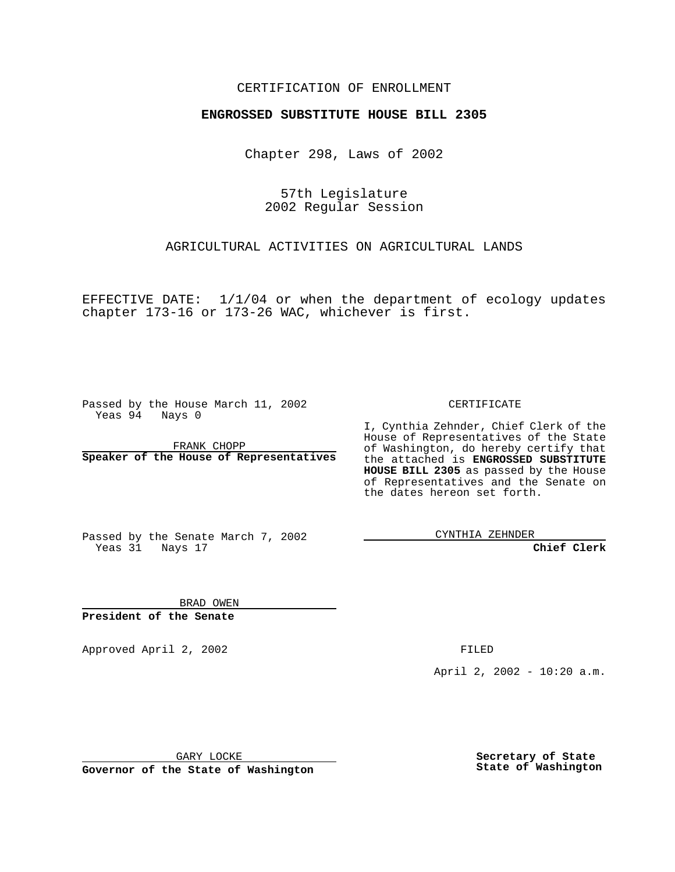#### CERTIFICATION OF ENROLLMENT

# **ENGROSSED SUBSTITUTE HOUSE BILL 2305**

Chapter 298, Laws of 2002

57th Legislature 2002 Regular Session

AGRICULTURAL ACTIVITIES ON AGRICULTURAL LANDS

EFFECTIVE DATE: 1/1/04 or when the department of ecology updates chapter 173-16 or 173-26 WAC, whichever is first.

Passed by the House March 11, 2002 Yeas 94 Nays 0

FRANK CHOPP **Speaker of the House of Representatives** CERTIFICATE

I, Cynthia Zehnder, Chief Clerk of the House of Representatives of the State of Washington, do hereby certify that the attached is **ENGROSSED SUBSTITUTE HOUSE BILL 2305** as passed by the House of Representatives and the Senate on the dates hereon set forth.

Passed by the Senate March 7, 2002 Yeas 31 Nays 17

CYNTHIA ZEHNDER

**Chief Clerk**

BRAD OWEN **President of the Senate**

Approved April 2, 2002 FILED

April 2, 2002 - 10:20 a.m.

GARY LOCKE

**Governor of the State of Washington**

**Secretary of State State of Washington**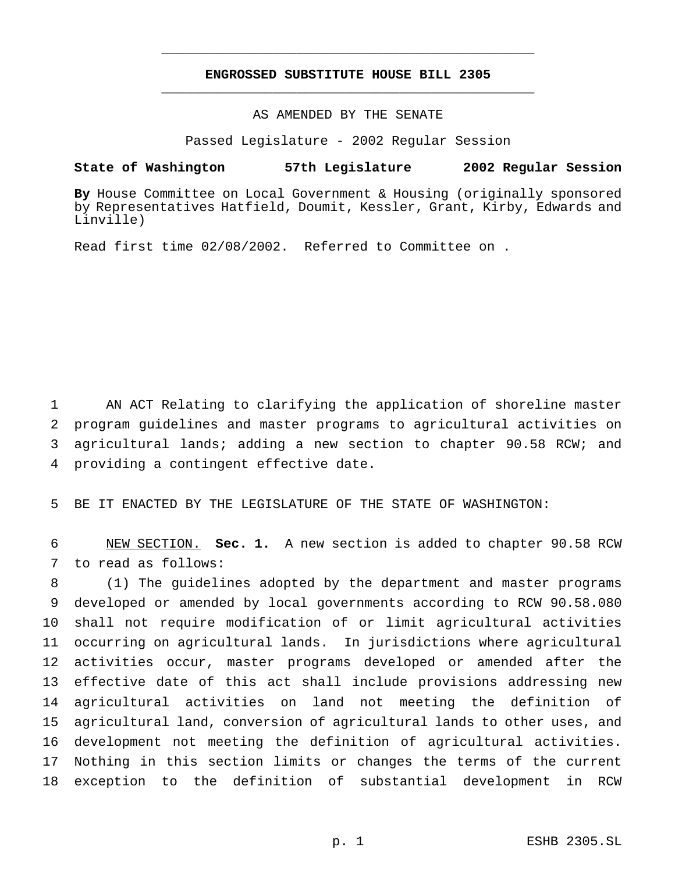## **ENGROSSED SUBSTITUTE HOUSE BILL 2305** \_\_\_\_\_\_\_\_\_\_\_\_\_\_\_\_\_\_\_\_\_\_\_\_\_\_\_\_\_\_\_\_\_\_\_\_\_\_\_\_\_\_\_\_\_\_\_

\_\_\_\_\_\_\_\_\_\_\_\_\_\_\_\_\_\_\_\_\_\_\_\_\_\_\_\_\_\_\_\_\_\_\_\_\_\_\_\_\_\_\_\_\_\_\_

## AS AMENDED BY THE SENATE

Passed Legislature - 2002 Regular Session

#### **State of Washington 57th Legislature 2002 Regular Session**

**By** House Committee on Local Government & Housing (originally sponsored by Representatives Hatfield, Doumit, Kessler, Grant, Kirby, Edwards and Linville)

Read first time 02/08/2002. Referred to Committee on .

 AN ACT Relating to clarifying the application of shoreline master program guidelines and master programs to agricultural activities on agricultural lands; adding a new section to chapter 90.58 RCW; and providing a contingent effective date.

BE IT ENACTED BY THE LEGISLATURE OF THE STATE OF WASHINGTON:

 NEW SECTION. **Sec. 1.** A new section is added to chapter 90.58 RCW to read as follows:

 (1) The guidelines adopted by the department and master programs developed or amended by local governments according to RCW 90.58.080 shall not require modification of or limit agricultural activities occurring on agricultural lands. In jurisdictions where agricultural activities occur, master programs developed or amended after the effective date of this act shall include provisions addressing new agricultural activities on land not meeting the definition of agricultural land, conversion of agricultural lands to other uses, and development not meeting the definition of agricultural activities. Nothing in this section limits or changes the terms of the current exception to the definition of substantial development in RCW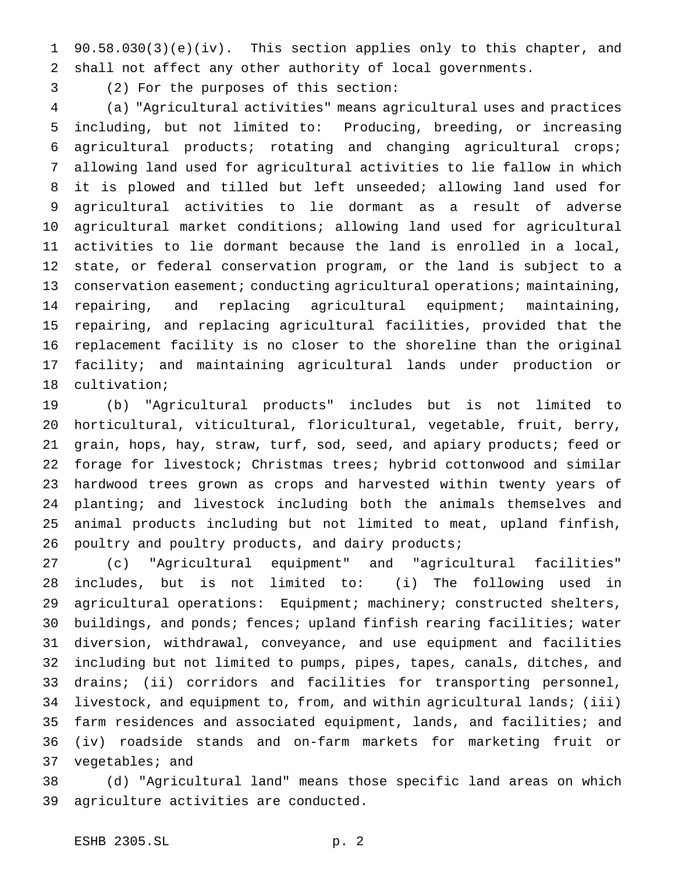90.58.030(3)(e)(iv). This section applies only to this chapter, and shall not affect any other authority of local governments.

(2) For the purposes of this section:

 (a) "Agricultural activities" means agricultural uses and practices including, but not limited to: Producing, breeding, or increasing agricultural products; rotating and changing agricultural crops; allowing land used for agricultural activities to lie fallow in which it is plowed and tilled but left unseeded; allowing land used for agricultural activities to lie dormant as a result of adverse agricultural market conditions; allowing land used for agricultural activities to lie dormant because the land is enrolled in a local, state, or federal conservation program, or the land is subject to a 13 conservation easement; conducting agricultural operations; maintaining, repairing, and replacing agricultural equipment; maintaining, repairing, and replacing agricultural facilities, provided that the replacement facility is no closer to the shoreline than the original facility; and maintaining agricultural lands under production or cultivation;

 (b) "Agricultural products" includes but is not limited to horticultural, viticultural, floricultural, vegetable, fruit, berry, grain, hops, hay, straw, turf, sod, seed, and apiary products; feed or forage for livestock; Christmas trees; hybrid cottonwood and similar hardwood trees grown as crops and harvested within twenty years of planting; and livestock including both the animals themselves and animal products including but not limited to meat, upland finfish, poultry and poultry products, and dairy products;

 (c) "Agricultural equipment" and "agricultural facilities" includes, but is not limited to: (i) The following used in agricultural operations: Equipment; machinery; constructed shelters, buildings, and ponds; fences; upland finfish rearing facilities; water diversion, withdrawal, conveyance, and use equipment and facilities including but not limited to pumps, pipes, tapes, canals, ditches, and drains; (ii) corridors and facilities for transporting personnel, livestock, and equipment to, from, and within agricultural lands; (iii) farm residences and associated equipment, lands, and facilities; and (iv) roadside stands and on-farm markets for marketing fruit or vegetables; and

 (d) "Agricultural land" means those specific land areas on which agriculture activities are conducted.